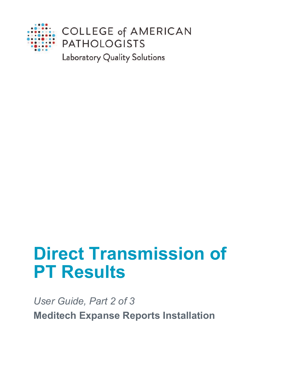

Laboratory Quality Solutions

# **Direct Transmission of PT Results**

*User Guide, Part 2 of 3* **Meditech Expanse Reports Installation**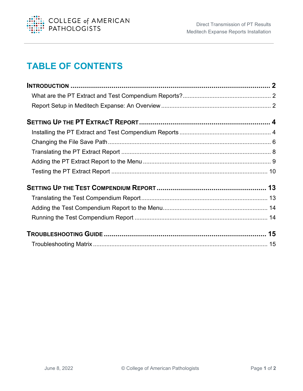

### **TABLE OF CONTENTS**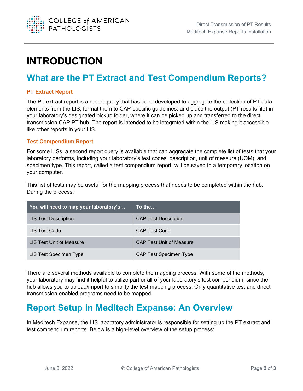

# <span id="page-2-0"></span>**INTRODUCTION**

### <span id="page-2-1"></span>**What are the PT Extract and Test Compendium Reports?**

#### **PT Extract Report**

The PT extract report is a report query that has been developed to aggregate the collection of PT data elements from the LIS, format them to CAP-specific guidelines, and place the output (PT results file) in your laboratory's designated pickup folder, where it can be picked up and transferred to the direct transmission CAP PT hub. The report is intended to be integrated within the LIS making it accessible like other reports in your LIS.

#### **Test Compendium Report**

For some LISs, a second report query is available that can aggregate the complete list of tests that your laboratory performs, including your laboratory's test codes, description, unit of measure (UOM), and specimen type. This report, called a test compendium report, will be saved to a temporary location on your computer.

This list of tests may be useful for the mapping process that needs to be completed within the hub. During the process:

| You will need to map your laboratory's | ′To the…                        |
|----------------------------------------|---------------------------------|
| <b>LIS Test Description</b>            | <b>CAP Test Description</b>     |
| LIS Test Code                          | <b>CAP Test Code</b>            |
| LIS Test Unit of Measure               | <b>CAP Test Unit of Measure</b> |
| LIS Test Specimen Type                 | <b>CAP Test Specimen Type</b>   |

There are several methods available to complete the mapping process. With some of the methods, your laboratory may find it helpful to utilize part or all of your laboratory's test compendium, since the hub allows you to upload/import to simplify the test mapping process. Only quantitative test and direct transmission enabled programs need to be mapped.

#### <span id="page-2-2"></span>**Report Setup in Meditech Expanse: An Overview**

In Meditech Expanse, the LIS laboratory administrator is responsible for setting up the PT extract and test compendium reports. Below is a high-level overview of the setup process: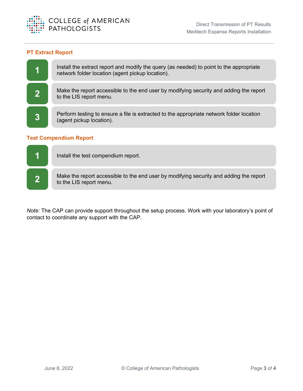

#### **PT Extract Report**



#### **Test Compendium Report**



*Note:* The CAP can provide support throughout the setup process. Work with your laboratory's point of contact to coordinate any support with the CAP.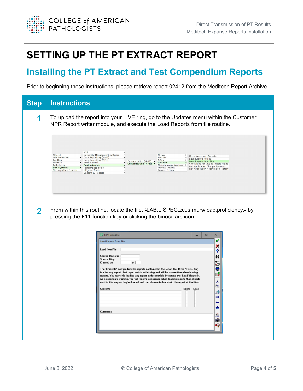

# <span id="page-4-0"></span>**SETTING UP THE PT EXTRACT REPORT**

#### <span id="page-4-1"></span>**Installing the PT Extract and Test Compendium Reports**

Prior to beginning these instructions, please retrieve report 02412 from the Meditech Report Archive.

| <b>Step</b>             | <b>Instructions</b>                                                                                                                                                                                                                                                                                                                                                                                                                                                                                                                                                                                                                                                                                                           |
|-------------------------|-------------------------------------------------------------------------------------------------------------------------------------------------------------------------------------------------------------------------------------------------------------------------------------------------------------------------------------------------------------------------------------------------------------------------------------------------------------------------------------------------------------------------------------------------------------------------------------------------------------------------------------------------------------------------------------------------------------------------------|
|                         | To upload the report into your LIVE ring, go to the Updates menu within the Customer<br>NPR Report writer module, and execute the Load Reports from file routine.                                                                                                                                                                                                                                                                                                                                                                                                                                                                                                                                                             |
|                         | <b>MIS</b><br>Corporate Management Software<br>Clinical<br>Menus<br>Move Menus and Reports<br>Data Repository (M-AT)<br>Administrative<br>Reports<br>Save Reports to File<br>Data Repository (NPR)<br><b>DPMs</b><br>Ancillary<br>Customization (M-AT)<br>Load Reports from File<br>Financial<br><b>Health Portal</b><br><b>Updates</b><br>Customization (NPR) ▶<br>Check Ring for Invalid Report Fields<br>Ambulatory<br><b>Customization</b><br>Miscellaneous Routines<br><b>List Application Change Summary</b><br><b>Info Systems</b><br><b>Process Reports</b><br>Performance Tools<br>List Application Modification History<br>Message/Task System<br><b>UPgrade Tools</b><br>Process Menus<br><b>Custom IS Reports</b> |
| $\overline{\mathbf{2}}$ | From within this routine, locate the file, "LAB.L.SPEC.zcus.mt.rw.cap.proficiency," by<br>pressing the F11 function key or clicking the binoculars icon.                                                                                                                                                                                                                                                                                                                                                                                                                                                                                                                                                                      |
|                         |                                                                                                                                                                                                                                                                                                                                                                                                                                                                                                                                                                                                                                                                                                                               |
|                         | NPR Database -<br>$\Box$<br>$\mathbf x$<br>v<br><b>Load Reports from File</b>                                                                                                                                                                                                                                                                                                                                                                                                                                                                                                                                                                                                                                                 |
|                         | ×<br>Load from File<br>?                                                                                                                                                                                                                                                                                                                                                                                                                                                                                                                                                                                                                                                                                                      |
|                         | <b>Source Universe</b><br>M<br><b>Source Ring</b><br><b>Created on</b>                                                                                                                                                                                                                                                                                                                                                                                                                                                                                                                                                                                                                                                        |
|                         | 25<br>●<br>The 'Contents' multiple lists the reports contained in the report file. If the 'Exists' flag<br>is Y for any report, that report exists in this ring and will be overwritten when loading                                                                                                                                                                                                                                                                                                                                                                                                                                                                                                                          |
|                         | п,<br>reports. You may skip loading any report in this multiple by setting the 'Load' flag to N.<br>As a secondary warning, you will receive a message when loading reports that already<br>Х<br>exist in this ring as they're loaded and can choose to load/skip the report at that time.                                                                                                                                                                                                                                                                                                                                                                                                                                    |
|                         | đ<br><b>Contents</b><br>Exists Load<br>痴<br>⇒                                                                                                                                                                                                                                                                                                                                                                                                                                                                                                                                                                                                                                                                                 |
|                         | ←<br>*                                                                                                                                                                                                                                                                                                                                                                                                                                                                                                                                                                                                                                                                                                                        |
|                         | <b>Comments</b><br>區                                                                                                                                                                                                                                                                                                                                                                                                                                                                                                                                                                                                                                                                                                          |
|                         | û<br>桿                                                                                                                                                                                                                                                                                                                                                                                                                                                                                                                                                                                                                                                                                                                        |
|                         |                                                                                                                                                                                                                                                                                                                                                                                                                                                                                                                                                                                                                                                                                                                               |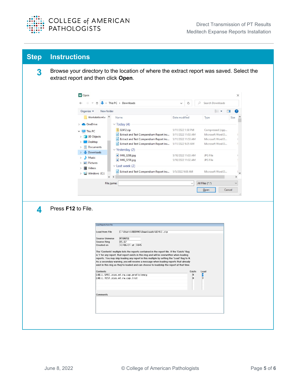

| <b>Step</b> | <b>Instructions</b>                                                                                                                                                                                                                                                                                                                                                                                                                                                                                                                                                                                                                                                                                                                                                   |  |  |  |
|-------------|-----------------------------------------------------------------------------------------------------------------------------------------------------------------------------------------------------------------------------------------------------------------------------------------------------------------------------------------------------------------------------------------------------------------------------------------------------------------------------------------------------------------------------------------------------------------------------------------------------------------------------------------------------------------------------------------------------------------------------------------------------------------------|--|--|--|
| 3           | Browse your directory to the location of where the extract report was saved. Select the<br>extract report and then click Open.                                                                                                                                                                                                                                                                                                                                                                                                                                                                                                                                                                                                                                        |  |  |  |
|             | M Open<br>X                                                                                                                                                                                                                                                                                                                                                                                                                                                                                                                                                                                                                                                                                                                                                           |  |  |  |
|             | > This PC > Downloads<br>Search Downloads<br>Q<br>Õ<br>$\checkmark$                                                                                                                                                                                                                                                                                                                                                                                                                                                                                                                                                                                                                                                                                                   |  |  |  |
|             | EE v<br>Organize v<br>New folder<br>ш                                                                                                                                                                                                                                                                                                                                                                                                                                                                                                                                                                                                                                                                                                                                 |  |  |  |
|             | Workstation4.x ^<br>Name<br>Date modified<br>Size<br>Type<br>$\vee$ Today (4)<br><b>OneDrive</b>                                                                                                                                                                                                                                                                                                                                                                                                                                                                                                                                                                                                                                                                      |  |  |  |
|             | 02412.zip<br>5/11/2022 1:58 PM<br>Compressed (zipp<br>This PC<br>Extract and Test Compendium Report Ins<br>5/11/2022 11:53 AM<br>Microsoft Word D<br>3D Objects<br>Extract and Test Compendium Report Ins<br>5/11/2022 11:53 AM<br>Microsoft Word D<br>Desktop<br>Extract and Test Compendium Report Ins<br>5/11/2022 9:25 AM<br>Microsoft Word D<br>Documents<br>$\vee$ Yesterday (2)<br><b>Downloads</b><br>MG_3298.jpg<br>5/10/2022 11:03 AM<br>JPG File<br>Music<br>MG_3258.jpg<br>5/10/2022 11:02 AM<br>JPG File<br>Pictures<br>$\vee$ Last week (2)<br>Videos<br>Extract and Test Compendium Report Ins 5/5/2022 9:08 AM<br>Microsoft Word D                                                                                                                    |  |  |  |
|             | Windows (C:)<br>$\mbox{\bf <}$<br>$\checkmark$<br>$\rightarrow$                                                                                                                                                                                                                                                                                                                                                                                                                                                                                                                                                                                                                                                                                                       |  |  |  |
| 4           | Cancel<br>$Q$ pen<br>Press F12 to File.                                                                                                                                                                                                                                                                                                                                                                                                                                                                                                                                                                                                                                                                                                                               |  |  |  |
|             | <b>Load Reports from File</b>                                                                                                                                                                                                                                                                                                                                                                                                                                                                                                                                                                                                                                                                                                                                         |  |  |  |
|             | C:\Users\RBOYNS\Downloads\02412.zip<br>Load from File<br>MTUNU56<br>Source Universe<br>Source Ring<br>D5.67<br>Created on<br>12/06/21 at 1045<br>The 'Contents' multiple lists the reports contained in the report file. If the 'Exists' flag<br>is Y for any report, that report exists in this ring and will be overwritten when loading<br>reports. You may skip loading any report in this multiple by setting the 'Load' flag to N.<br>As a secondary warning, you will receive a message when loading reports that already<br>exist in this ring as they're loaded and can choose to load/skip the report at that time.<br>Contents<br>Exists<br>Load<br>LAB.L.SPEC.zcus.mt.rw.cap.proficiency<br>N<br>LAB.L.TEST.zcus.mt.rw.cap.list <br>$\vert$ N<br>Comments |  |  |  |
|             |                                                                                                                                                                                                                                                                                                                                                                                                                                                                                                                                                                                                                                                                                                                                                                       |  |  |  |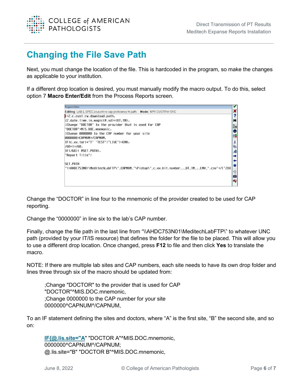

#### <span id="page-6-0"></span>**Changing the File Save Path**

Next, you must change the location of the file. This is hardcoded in the program, so make the changes as applicable to your institution.

If a different drop location is desired, you must manually modify the macro output. To do this, select option 7 **Macro Enter/Edit** from the Process Reports screen.

| <b>Program Editor</b>                                                                        |         |
|----------------------------------------------------------------------------------------------|---------|
| Editing: LAB.L.SPEC.zcus.mt.rw.cap.proficiency.M.path Mode: NPR CUSTRW SRC                   |         |
| $1+2$ .c.cust.rw.download.path,                                                              |         |
| %Z.date.time.in.magic(@.sd)→{DT,TM},                                                         | 餉       |
| Change "DOCTOR" to the provider that is used for CAP                                         | 25      |
| "DOCTOR"→MIS.DOC.mnemonic.                                                                   | G       |
| :Change 0000000 to the CAP number for your site                                              | E,      |
| 0000000→CAPNUM→/CAPNUM,                                                                      |         |
| IF{c.xx.torl="T" "TEST";"LIVE"}→ENV,                                                         |         |
| /GO+1→/GO,                                                                                   | 晒       |
| IF{/60>1 @SET.PATH},                                                                         | வி      |
| "Report Title";                                                                              |         |
|                                                                                              |         |
| <b>SET.PATH</b>                                                                              | $\star$ |
| "\\AHDC753N01\MeditechLabFTP\"_CAPNUM_"\Pickup\"_c.xx.kit.number_._DT_TM_._ENV_".csv"→/["2DO | 疆       |
|                                                                                              | 简       |
|                                                                                              |         |
|                                                                                              | Æ       |

Change the "DOCTOR" in line four to the mnemonic of the provider created to be used for CAP reporting.

Change the "0000000" in line six to the lab's CAP number.

Finally, change the file path in the last line from "\\AHDC753N01\MeditechLabFTP\" to whatever UNC path (provided by your IT/IS resource) that defines the folder for the file to be placed. This will allow you to use a different drop location. Once changed, press **F12** to file and then click **Yes** to translate the macro.

NOTE: If there are multiple lab sites and CAP numbers, each site needs to have its own drop folder and lines three through six of the macro should be updated from:

;Change "DOCTOR" to the provider that is used for CAP "DOCTOR"^MIS.DOC.mnemonic, ;Change 0000000 to the CAP number for your site 0000000^CAPNUM^/CAPNUM,

To an IF statement defining the sites and doctors, where "A" is the first site, "B" the second site, and so on:

**[IF{@.lis.site="A](mailto:IF%7b@.lis.site=%22A)**" "DOCTOR A"^MIS.DOC.mnemonic, 0000000^CAPNUM^/CAPNUM; @.lis.site="B" "DOCTOR B"^MIS.DOC.mnemonic,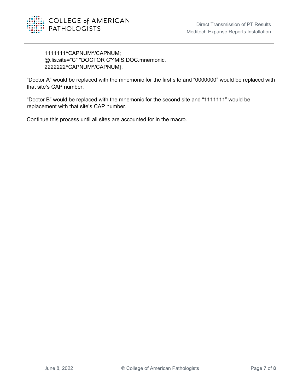

1111111^CAPNUM^/CAPNUM; @.lis.site="C" "DOCTOR C"^MIS.DOC.mnemonic, 2222222^CAPNUM^/CAPNUM},

"Doctor A" would be replaced with the mnemonic for the first site and "0000000" would be replaced with that site's CAP number.

"Doctor B" would be replaced with the mnemonic for the second site and "1111111" would be replacement with that site's CAP number.

Continue this process until all sites are accounted for in the macro.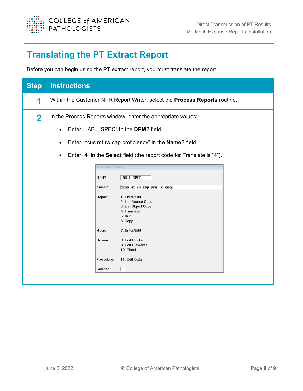

### <span id="page-8-0"></span>**Translating the PT Extract Report**

Before you can begin using the PT extract report, you must translate the report.

| <b>Step</b> | <b>Instructions</b>                                          |                                                                                                  |  |
|-------------|--------------------------------------------------------------|--------------------------------------------------------------------------------------------------|--|
| 1           |                                                              | Within the Customer NPR Report Writer, select the <b>Process Reports</b> routine.                |  |
| $\mathbf 2$ | In the Process Reports window, enter the appropriate values: |                                                                                                  |  |
|             | Enter "LAB.L.SPEC" In the DPM? field.<br>$\bullet$           |                                                                                                  |  |
|             |                                                              | Enter "zcus.mt.rw.cap.proficiency" in the Name? field.                                           |  |
|             | $\bullet$                                                    | Enter "4" in the Select field (the report code for Translate is "4").                            |  |
|             | Process Reports (DEV21N)                                     |                                                                                                  |  |
|             | DPM?                                                         | LAB.L.SPEC                                                                                       |  |
|             | Name?                                                        | ZCUS.Mt.rW.cap.proficiency                                                                       |  |
|             | Report:                                                      | 1. Enter/Edit<br>2. List Source Code<br>3. List Object Code<br>4. Translate<br>5. Run<br>6. Copy |  |
|             | Macro:                                                       | 7. Enter/Edit                                                                                    |  |
|             | Screen:                                                      | 8. Edit Blocks<br>9. Edit Elements<br>10. Check                                                  |  |
|             | Procedure:                                                   | 11. Edit Data                                                                                    |  |
|             | Select?                                                      |                                                                                                  |  |
|             |                                                              |                                                                                                  |  |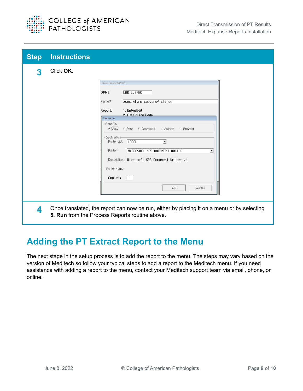

| <b>Step</b> | <b>Instructions</b> |                                                                                                                                                                                                                                                                                                                                                                                                                                                              |
|-------------|---------------------|--------------------------------------------------------------------------------------------------------------------------------------------------------------------------------------------------------------------------------------------------------------------------------------------------------------------------------------------------------------------------------------------------------------------------------------------------------------|
| 3           | Click OK.           | Process Reports (DEV21N)<br>LAB.L.SPEC<br>DPM?<br>ZCUS.Mt.rw.cap.proficiency<br>Name?<br>1. Enter/Edit<br>Report:<br>2 List Source Code<br>Translate on:<br>Send To<br>C Download<br>C View<br>C Print<br>C Archive<br>C Browser<br>Destination<br><b>LOCAL</b><br>Printer List:<br>$\vert$<br>MICROSOFT XPS DOCUMENT WRITER<br>Printer:<br>▾<br>Description: Microsoft XPS Document Writer v4<br>Printer Name:<br>Copies:<br>$\overline{1}$<br>OK<br>Cancel |
| 4           |                     | Once translated, the report can now be run, either by placing it on a menu or by selecting<br>5. Run from the Process Reports routine above.                                                                                                                                                                                                                                                                                                                 |

### <span id="page-9-0"></span>**Adding the PT Extract Report to the Menu**

The next stage in the setup process is to add the report to the menu. The steps may vary based on the version of Meditech so follow your typical steps to add a report to the Meditech menu. If you need assistance with adding a report to the menu, contact your Meditech support team via email, phone, or online.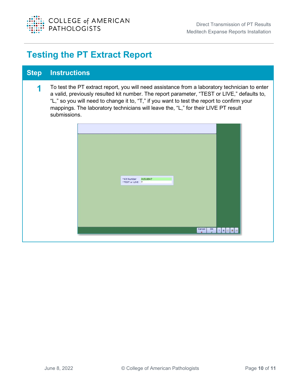

### <span id="page-10-0"></span>**Testing the PT Extract Report**

#### **Step Instructions**

**1** To test the PT extract report, you will need assistance from a laboratory technician to enter a valid, previously resulted kit number. The report parameter, "TEST or LIVE," defaults to, "L," so you will need to change it to, "T," if you want to test the report to confirm your mappings. The laboratory technicians will leave the, "L," for their LIVE PT result submissions.

|  | *Kit Number 31516947<br>*TEST or LIVE T |  |  |  |
|--|-----------------------------------------|--|--|--|
|  |                                         |  |  |  |
|  |                                         |  |  |  |
|  |                                         |  |  |  |
|  |                                         |  |  |  |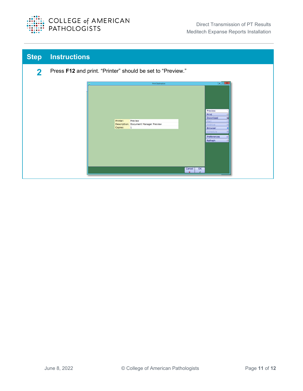

| <b>Step</b> | <b>Instructions</b>                                                                                                                                                                                                                                                                           |
|-------------|-----------------------------------------------------------------------------------------------------------------------------------------------------------------------------------------------------------------------------------------------------------------------------------------------|
| 2           | Press F12 and print. "Printer" should be set to "Preview."                                                                                                                                                                                                                                    |
|             | $  x$<br><b>Print Destination</b><br>Preview<br>Print<br>Q<br>Download<br>a<br>Printer:<br>Preview<br>Mail<br>Description: Document Manager Preview<br>Archive<br>Copies:<br>$\mathbf{1}$<br><b>Browser</b><br>Schedule<br>Preferences<br>∙<br>Refresh<br>49<br>$\overline{\alpha}$<br>Cancel |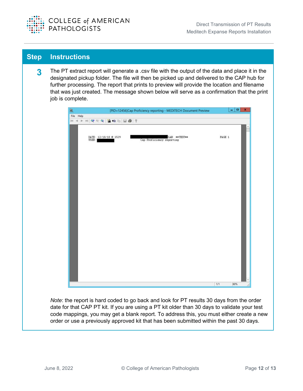

#### **Step Instructions**

**3** The PT extract report will generate a .csv file with the output of the data and place it in the designated pickup folder. The file will then be picked up and delivered to the CAP hub for further processing. The report that prints to preview will provide the location and filename that was just created. The message shown below will serve as a confirmation that the print job is complete.

| Ø,        | [PID=12456]Cap Proficiency reporting - MEDITECH Document Preview            |        | - 0<br>$\pmb{\times}$ |
|-----------|-----------------------------------------------------------------------------|--------|-----------------------|
| File Help |                                                                             |        |                       |
|           |                                                                             |        |                       |
|           |                                                                             |        |                       |
|           |                                                                             |        |                       |
|           |                                                                             |        |                       |
|           | DATE: 12/18/18 @ 1529<br>USER:<br>LAB **TEST**<br>Cap Proficiency reporting | PAGE 1 |                       |
|           |                                                                             |        |                       |
|           |                                                                             |        |                       |
|           |                                                                             |        |                       |
|           |                                                                             |        |                       |
|           |                                                                             |        |                       |
|           |                                                                             |        |                       |
|           |                                                                             |        |                       |
|           |                                                                             |        |                       |
|           |                                                                             |        |                       |
|           |                                                                             |        |                       |
|           |                                                                             |        |                       |
|           |                                                                             |        |                       |
|           |                                                                             |        |                       |
|           |                                                                             |        |                       |
|           |                                                                             |        |                       |
|           |                                                                             |        |                       |
|           |                                                                             |        |                       |
|           |                                                                             |        |                       |
|           |                                                                             |        |                       |
|           |                                                                             |        |                       |
|           |                                                                             |        |                       |
|           |                                                                             |        |                       |
|           |                                                                             |        |                       |
|           |                                                                             |        |                       |
|           |                                                                             |        |                       |
|           |                                                                             |        |                       |
|           |                                                                             |        |                       |
|           |                                                                             |        |                       |
|           |                                                                             |        |                       |
|           |                                                                             |        |                       |
|           |                                                                             |        |                       |
|           |                                                                             |        |                       |
|           |                                                                             | 1/1    | 60%                   |

*Note*: the report is hard coded to go back and look for PT results 30 days from the order date for that CAP PT kit. If you are using a PT kit older than 30 days to validate your test code mappings, you may get a blank report. To address this, you must either create a new order or use a previously approved kit that has been submitted within the past 30 days.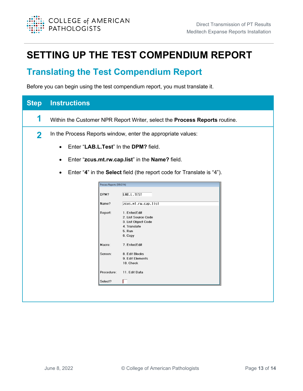

# <span id="page-13-0"></span>**SETTING UP THE TEST COMPENDIUM REPORT**

#### <span id="page-13-1"></span>**Translating the Test Compendium Report**

Before you can begin using the test compendium report, you must translate it.

| <b>Step</b> | <b>Instructions</b>                                                                |                                                                                                  |  |
|-------------|------------------------------------------------------------------------------------|--------------------------------------------------------------------------------------------------|--|
| 1           |                                                                                    | Within the Customer NPR Report Writer, select the Process Reports routine.                       |  |
| 2           | In the Process Reports window, enter the appropriate values:                       |                                                                                                  |  |
|             | Enter "LAB.L.Test" In the DPM? field.<br>$\bullet$                                 |                                                                                                  |  |
|             | ٠                                                                                  | Enter "zcus.mt.rw.cap.list" in the Name? field.                                                  |  |
|             | Enter "4" in the Select field (the report code for Translate is "4").<br>$\bullet$ |                                                                                                  |  |
|             | Process Reports (DEV21N)                                                           |                                                                                                  |  |
|             | DPM?                                                                               | LAB.L.TEST                                                                                       |  |
|             | Name?                                                                              | ZCUS.Mt.rw.cap.list                                                                              |  |
|             | Report:                                                                            | 1. Enter/Edit<br>2. List Source Code<br>3. List Object Code<br>4. Translate<br>5. Run<br>6. Copy |  |
|             | Macro:                                                                             | 7. Enter/Edit                                                                                    |  |
|             | Screen:                                                                            | 8. Edit Blocks<br>9. Edit Elements<br>10. Check                                                  |  |
|             | Procedure:                                                                         | 11. Edit Data                                                                                    |  |
|             | Select?                                                                            |                                                                                                  |  |
|             |                                                                                    |                                                                                                  |  |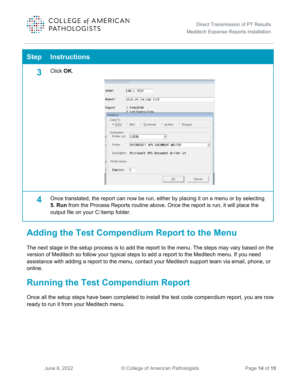

| <b>Step</b> | <b>Instructions</b>                 |                                                                                            |
|-------------|-------------------------------------|--------------------------------------------------------------------------------------------|
| 3           | Click OK.                           |                                                                                            |
|             |                                     | Process Reports (DEV21N)                                                                   |
|             |                                     | DPM?<br>LAB.L.TEST                                                                         |
|             |                                     | ZCUS.Mt.rw.cap.list<br>Name?                                                               |
|             |                                     | 1. Enter/Edit<br>Report:<br>2 List Source Code                                             |
|             |                                     | Translate on:                                                                              |
|             |                                     | Send To<br>G View<br>C Print C Download<br>C Archive<br>C Browser                          |
|             |                                     | Destination                                                                                |
|             |                                     | Printer List:<br> LOCAL<br>$\overline{\phantom{a}}$                                        |
|             |                                     | MICROSOFT XPS DOCUMENT WRITER<br>Printer:                                                  |
|             |                                     | Description: Microsoft XPS Document Writer v4                                              |
|             |                                     | Printer Name:                                                                              |
|             |                                     | $Copies:$ 1                                                                                |
|             |                                     | QK<br>Cancel                                                                               |
|             |                                     |                                                                                            |
| Δ.          |                                     | Once translated, the report can now be run, either by placing it on a menu or by selecting |
|             |                                     | 5. Run from the Process Reports routine above. Once the report is run, it will place the   |
|             | output file on your C:\temp folder. |                                                                                            |

### <span id="page-14-0"></span>**Adding the Test Compendium Report to the Menu**

The next stage in the setup process is to add the report to the menu. The steps may vary based on the version of Meditech so follow your typical steps to add a report to the Meditech menu. If you need assistance with adding a report to the menu, contact your Meditech support team via email, phone, or online.

#### <span id="page-14-1"></span>**Running the Test Compendium Report**

Once all the setup steps have been completed to install the test code compendium report, you are now ready to run it from your Meditech menu.